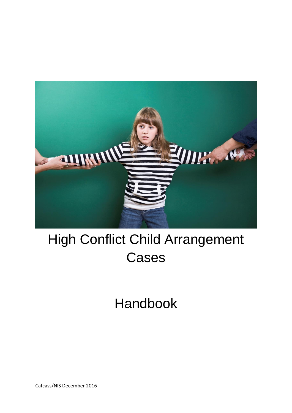

# High Conflict Child Arrangement Cases

Handbook

Cafcass/NIS December 2016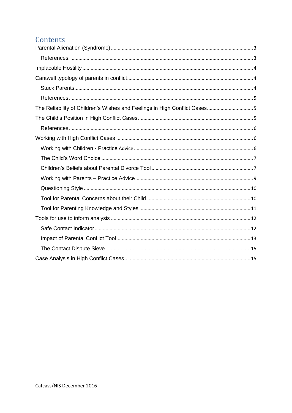# Contents

| The Reliability of Children's Wishes and Feelings in High Conflict Cases5 |
|---------------------------------------------------------------------------|
|                                                                           |
|                                                                           |
|                                                                           |
|                                                                           |
|                                                                           |
|                                                                           |
|                                                                           |
|                                                                           |
|                                                                           |
|                                                                           |
|                                                                           |
|                                                                           |
|                                                                           |
|                                                                           |
|                                                                           |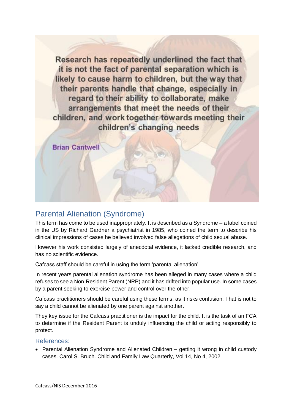Research has repeatedly underlined the fact that it is not the fact of parental separation which is likely to cause harm to children, but the way that their parents handle that change, especially in regard to their ability to collaborate, make arrangements that meet the needs of their children, and work together towards meeting their children's changing needs

**Brian Cantwell** 

# <span id="page-2-0"></span>Parental Alienation (Syndrome)

This term has come to be used inappropriately. It is described as a Syndrome – a label coined in the US by Richard Gardner a psychiatrist in 1985, who coined the term to describe his clinical impressions of cases he believed involved false allegations of child sexual abuse.

However his work consisted largely of anecdotal evidence, it lacked credible research, and has no scientific evidence.

Cafcass staff should be careful in using the term 'parental alienation'

In recent years parental alienation syndrome has been alleged in many cases where a child refuses to see a Non-Resident Parent (NRP) and it has drifted into popular use. In some cases by a parent seeking to exercise power and control over the other.

Cafcass practitioners should be careful using these terms, as it risks confusion. That is not to say a child cannot be alienated by one parent against another.

They key issue for the Cafcass practitioner is the impact for the child. It is the task of an FCA to determine if the Resident Parent is unduly influencing the child or acting responsibly to protect.

#### <span id="page-2-1"></span>References:

• Parental Alienation Syndrome and Alienated Children – getting it wrong in child custody cases. Carol S. Bruch. Child and Family Law Quarterly, Vol 14, No 4, 2002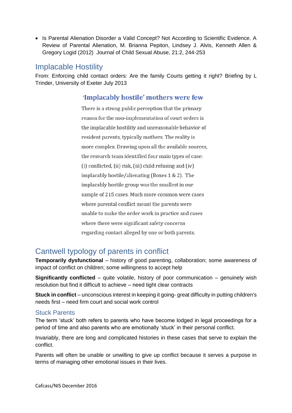• Is Parental Alienation Disorder a Valid Concept? Not According to Scientific Evidence. A Review of Parental Alienation, M. Brianna Pepiton, Lindsey J. Alvis, Kenneth Allen & Gregory Logid (2012) Journal of Child Sexual Abuse, 21:2, 244-253

# <span id="page-3-0"></span>Implacable Hostility

From: Enforcing child contact orders: Are the family Courts getting it right? Briefing by L Trinder, University of Exeter July 2013

# 'Implacably hostile' mothers were few

There is a strong public perception that the primary reason for the non-implementation of court orders is the implacable hostility and unreasonable behavior of resident parents, typically mothers. The reality is more complex. Drawing upon all the available sources, the research team identified four main types of case: (i) conflicted, (ii) risk, (iii) child refusing and (iv) implacably hostile/alienating (Boxes 1 & 2). The implacably hostile group was the smallest in our sample of 215 cases. Much more common were cases where parental conflict meant the parents were unable to make the order work in practice and cases where there were significant safety concerns regarding contact alleged by one or both parents.

# <span id="page-3-1"></span>Cantwell typology of parents in conflict

**Temporarily dysfunctional** – history of good parenting, collaboration; some awareness of impact of conflict on children; some willingness to accept help

**Significantly conflicted** – quite volatile, history of poor communication – genuinely wish resolution but find it difficult to achieve – need tight clear contracts

**Stuck in conflict** – unconscious interest in keeping it going- great difficulty in putting children's needs first – need firm court and social work control

## <span id="page-3-2"></span>Stuck Parents

The term 'stuck' both refers to parents who have become lodged in legal proceedings for a period of time and also parents who are emotionally 'stuck' in their personal conflict.

Invariably, there are long and complicated histories in these cases that serve to explain the conflict.

Parents will often be unable or unwilling to give up conflict because it serves a purpose in terms of managing other emotional issues in their lives.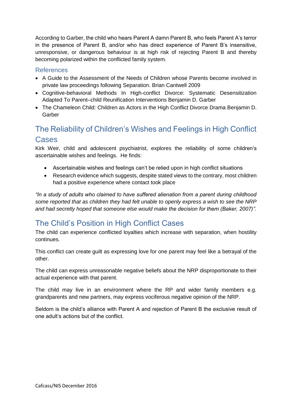According to Garber, the child who hears Parent A damn Parent B, who feels Parent A's terror in the presence of Parent B, and/or who has direct experience of Parent B's insensitive, unresponsive, or dangerous behaviour is at high risk of rejecting Parent B and thereby becoming polarized within the conflicted family system.

## <span id="page-4-0"></span>References

- A Guide to the Assessment of the Needs of Children whose Parents become involved in private law proceedings following Separation. Brian Cantwell 2009
- Cognitive-behavioral Methods In High-conflict Divorce: Systematic Desensitization Adapted To Parent–child Reunification Interventions Benjamin D. Garber
- The Chameleon Child: Children as Actors in the High Conflict Divorce Drama Benjamin D. Garber

# <span id="page-4-1"></span>The Reliability of Children's Wishes and Feelings in High Conflict Cases

Kirk Weir, child and adolescent psychiatrist, explores the reliability of some children's ascertainable wishes and feelings. He finds:

- Ascertainable wishes and feelings can't be relied upon in high conflict situations
- Research evidence which suggests, despite stated views to the contrary, most children had a positive experience where contact took place

*"In a study of adults who claimed to have suffered alienation from a parent during childhood some reported that as children they had felt unable to openly express a wish to see the NRP and had secretly hoped that someone else would make the decision for them (Baker, 2007)".*

# <span id="page-4-2"></span>The Child's Position in High Conflict Cases

The child can experience conflicted loyalties which increase with separation, when hostility continues.

This conflict can create guilt as expressing love for one parent may feel like a betrayal of the other.

The child can express unreasonable negative beliefs about the NRP disproportionate to their actual experience with that parent.

The child may live in an environment where the RP and wider family members e.g. grandparents and new partners, may express vociferous negative opinion of the NRP.

Seldom is the child's alliance with Parent A and rejection of Parent B the exclusive result of one adult's actions but of the conflict.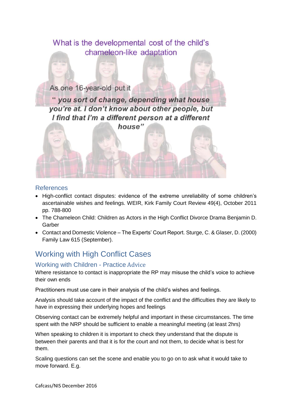

#### <span id="page-5-0"></span>References

- High-conflict contact disputes: evidence of the extreme unreliability of some children's ascertainable wishes and feelings. WEIR, Kirk Family Court Review 49(4), October 2011 pp. 788-800
- The Chameleon Child: Children as Actors in the High Conflict Divorce Drama Benjamin D. Garber
- Contact and Domestic Violence The Experts' Court Report. Sturge, C. & Glaser, D. (2000) Family Law 615 (September).

# <span id="page-5-1"></span>Working with High Conflict Cases

## <span id="page-5-2"></span>Working with Children - Practice Advice

Where resistance to contact is inappropriate the RP may misuse the child's voice to achieve their own ends

Practitioners must use care in their analysis of the child's wishes and feelings.

Analysis should take account of the impact of the conflict and the difficulties they are likely to have in expressing their underlying hopes and feelings

Observing contact can be extremely helpful and important in these circumstances. The time spent with the NRP should be sufficient to enable a meaningful meeting (at least 2hrs)

When speaking to children it is important to check they understand that the dispute is between their parents and that it is for the court and not them, to decide what is best for them.

Scaling questions can set the scene and enable you to go on to ask what it would take to move forward. E.g.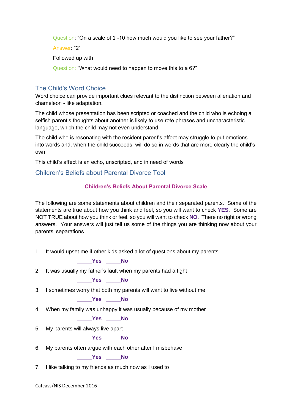Question: "On a scale of 1 -10 how much would you like to see your father?"

Answer: "2"

Followed up with

Question: "What would need to happen to move this to a 6?"

## <span id="page-6-0"></span>The Child's Word Choice

Word choice can provide important clues relevant to the distinction between alienation and chameleon - like adaptation.

The child whose presentation has been scripted or coached and the child who is echoing a selfish parent's thoughts about another is likely to use rote phrases and uncharacteristic language, which the child may not even understand.

The child who is resonating with the resident parent's affect may struggle to put emotions into words and, when the child succeeds, will do so in words that are more clearly the child's own

This child's affect is an echo, unscripted, and in need of words

## <span id="page-6-1"></span>Children's Beliefs about Parental Divorce Tool

## **Children's Beliefs About Parental Divorce Scale**

The following are some statements about children and their separated parents. Some of the statements are true about how you think and feel, so you will want to check **YES**. Some are NOT TRUE about how you think or feel, so you will want to check **NO**. There no right or wrong answers. Your answers will just tell us some of the things you are thinking now about your parents' separations.

1. It would upset me if other kids asked a lot of questions about my parents.

**\_\_\_\_\_Yes \_\_\_\_\_No**

2. It was usually my father's fault when my parents had a fight

**\_\_\_\_\_Yes \_\_\_\_\_No**

3. I sometimes worry that both my parents will want to live without me

**\_\_\_\_\_Yes \_\_\_\_\_No**

4. When my family was unhappy it was usually because of my mother

**\_\_\_\_\_Yes \_\_\_\_\_No**

5. My parents will always live apart

**\_\_\_\_\_Yes \_\_\_\_\_No**

6. My parents often argue with each other after I misbehave

**\_\_\_\_\_Yes \_\_\_\_\_No**

7. I like talking to my friends as much now as I used to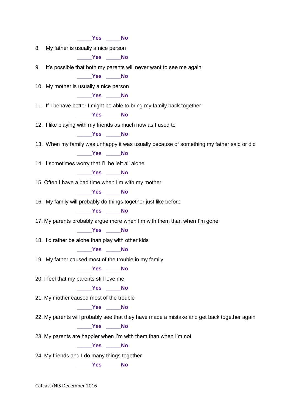**\_\_\_\_\_Yes \_\_\_\_\_No** 8. My father is usually a nice person **\_\_\_\_\_Yes \_\_\_\_\_No** 9. It's possible that both my parents will never want to see me again **\_\_\_\_\_Yes \_\_\_\_\_No** 10. My mother is usually a nice person **\_\_\_\_\_Yes \_\_\_\_\_No** 11. If I behave better I might be able to bring my family back together **\_\_\_\_\_Yes \_\_\_\_\_No** 12. I like playing with my friends as much now as I used to **\_\_\_\_\_Yes \_\_\_\_\_No** 13. When my family was unhappy it was usually because of something my father said or did **\_\_\_\_\_Yes \_\_\_\_\_No** 14. I sometimes worry that I'll be left all alone **\_\_\_\_\_Yes \_\_\_\_\_No** 15. Often I have a bad time when I'm with my mother **\_\_\_\_\_Yes \_\_\_\_\_No** 16. My family will probably do things together just like before **\_\_\_\_\_Yes \_\_\_\_\_No** 17. My parents probably argue more when I'm with them than when I'm gone **\_\_\_\_\_Yes \_\_\_\_\_No** 18. I'd rather be alone than play with other kids **\_\_\_\_\_Yes \_\_\_\_\_No** 19. My father caused most of the trouble in my family **\_\_\_\_\_Yes \_\_\_\_\_No** 20. I feel that my parents still love me **\_\_\_\_\_Yes \_\_\_\_\_No** 21. My mother caused most of the trouble **\_\_\_\_\_Yes \_\_\_\_\_No** 22. My parents will probably see that they have made a mistake and get back together again **\_\_\_\_\_Yes \_\_\_\_\_No** 23. My parents are happier when I'm with them than when I'm not **\_\_\_\_\_Yes \_\_\_\_\_No** 24. My friends and I do many things together **\_\_\_\_\_Yes \_\_\_\_\_No**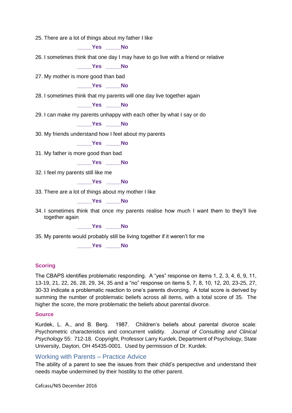25. There are a lot of things about my father I like

**\_\_\_\_\_Yes \_\_\_\_\_No**

26. I sometimes think that one day I may have to go live with a friend or relative

**\_\_\_\_\_Yes \_\_\_\_\_No**

27. My mother is more good than bad

**\_\_\_\_\_Yes \_\_\_\_\_No**

28. I sometimes think that my parents will one day live together again

**\_\_\_\_\_Yes \_\_\_\_\_No**

29. I can make my parents unhappy with each other by what I say or do

**\_\_\_\_\_Yes \_\_\_\_\_No**

30. My friends understand how I feel about my parents

**\_\_\_\_\_Yes \_\_\_\_\_No**

31. My father is more good than bad

**\_\_\_\_\_Yes \_\_\_\_\_No**

32. I feel my parents still like me

**\_\_\_\_\_Yes \_\_\_\_\_No**

33. There are a lot of things about my mother I like

**\_\_\_\_\_Yes \_\_\_\_\_No**

34. I sometimes think that once my parents realise how much I want them to they'll live together again

**\_\_\_\_\_Yes \_\_\_\_\_No**

35. My parents would probably still be living together if it weren't for me

**\_\_\_\_\_Yes \_\_\_\_\_No**

#### **Scoring**

The CBAPS identifies problematic responding. A "yes" response on items 1, 2, 3, 4, 6, 9, 11, 13-19, 21, 22, 26, 28, 29, 34, 35 and a "no" response on items 5, 7, 8, 10, 12, 20, 23-25, 27, 30-33 indicate a problematic reaction to one's parents divorcing. A total score is derived by summing the number of problematic beliefs across all items, with a total score of 35. The higher the score, the more problematic the beliefs about parental divorce.

#### **Source**

Kurdek, L. A., and B. Berg. 1987. Children's beliefs about parental divorce scale: Psychometric characteristics and concurrent validity. *Journal of Consulting and Clinical Psychology* 55: 712-18. Copyright, Professor Larry Kurdek, Department of Psychology, State University, Dayton, OH 45435-0001. Used by permission of Dr. Kurdek.

#### <span id="page-8-0"></span>Working with Parents – Practice Advice

The ability of a parent to see the issues from their child's perspective and understand their needs maybe undermined by their hostility to the other parent.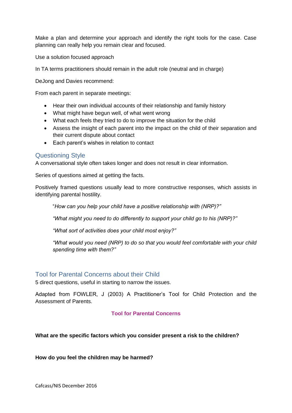Make a plan and determine your approach and identify the right tools for the case. Case planning can really help you remain clear and focused.

Use a solution focused approach

In TA terms practitioners should remain in the adult role (neutral and in charge)

DeJong and Davies recommend:

From each parent in separate meetings:

- Hear their own individual accounts of their relationship and family history
- What might have begun well, of what went wrong
- What each feels they tried to do to improve the situation for the child
- Assess the insight of each parent into the impact on the child of their separation and their current dispute about contact
- Each parent's wishes in relation to contact

#### <span id="page-9-0"></span>Questioning Style

A conversational style often takes longer and does not result in clear information.

Series of questions aimed at getting the facts.

Positively framed questions usually lead to more constructive responses, which assists in identifying parental hostility.

"*How can you help your child have a positive relationship with (NRP)?"*

*"What might you need to do differently to support your child go to his (NRP)?"*

*"What sort of activities does your child most enjoy?"*

*"What would you need (NRP) to do so that you would feel comfortable with your child spending time with them?"*

#### <span id="page-9-1"></span>Tool for Parental Concerns about their Child

5 direct questions, useful in starting to narrow the issues.

Adapted from FOWLER, J (2003) A Practitioner's Tool for Child Protection and the Assessment of Parents.

#### **Tool for Parental Concerns**

#### **What are the specific factors which you consider present a risk to the children?**

#### **How do you feel the children may be harmed?**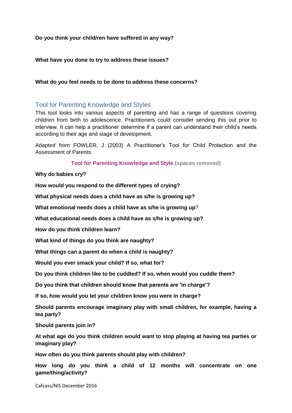#### **Do you think your child/ren have suffered in any way?**

#### **What have you done to try to address these issues?**

#### **What do you feel needs to be done to address these concerns?**

#### <span id="page-10-0"></span>Tool for Parenting Knowledge and Styles

This tool looks into various aspects of parenting and has a range of questions covering children from birth to adolescence. Practitioners could consider sending this out prior to interview. It can help a practitioner determine if a parent can understand their child's needs according to their age and stage of development.

Adapted from FOWLER, J (2003) A Practitioner's Tool for Child Protection and the Assessment of Parents.

**Tool for Parenting Knowledge and Style (spaces removed)**

#### **Why do babies cry?**

**How would you respond to the different types of crying?**

**What physical needs does a child have as s/he is growing up?**

**What emotional needs does a child have as s/he is growing up**?

**What educational needs does a child have as s/he is growing up?**

**How do you think children learn?**

**What kind of things do you think are naughty?**

**What things can a parent do when a child is naughty?**

**Would you ever smack your child? If so, what for?**

**Do you think children like to be cuddled? If so, when would you cuddle them?**

**Do you think that children should know that parents are 'in charge'?**

**If so, how would you let your children know you were in charge?**

**Should parents encourage imaginary play with small children, for example, having a tea party?**

**Should parents join in?**

**At what age do you think children would want to stop playing at having tea parties or imaginary play?**

**How often do you think parents should play with children?**

**How long do you think a child of 12 months will concentrate on one game/thing/activity?**

Cafcass/NIS December 2016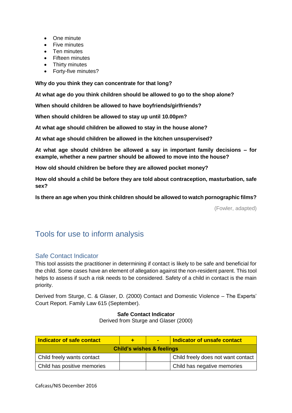- One minute
- Five minutes
- Ten minutes
- **•** Fifteen minutes
- Thirty minutes
- Forty-five minutes?

**Why do you think they can concentrate for that long?**

**At what age do you think children should be allowed to go to the shop alone?**

**When should children be allowed to have boyfriends/girlfriends?**

**When should children be allowed to stay up until 10.00pm?**

**At what age should children be allowed to stay in the house alone?**

**At what age should children be allowed in the kitchen unsupervised?**

**At what age should children be allowed a say in important family decisions – for example, whether a new partner should be allowed to move into the house?**

**How old should children be before they are allowed pocket money?**

**How old should a child be before they are told about contraception, masturbation, safe sex?**

**Is there an age when you think children should be allowed to watch pornographic films?**

(Fowler, adapted)

# <span id="page-11-0"></span>Tools for use to inform analysis

## <span id="page-11-1"></span>Safe Contact Indicator

This tool assists the practitioner in determining if contact is likely to be safe and beneficial for the child. Some cases have an element of allegation against the non-resident parent. This tool helps to assess if such a risk needs to be considered. Safety of a child in contact is the main priority.

Derived from Sturge, C. & Glaser, D. (2000) Contact and Domestic Violence – The Experts' Court Report. Family Law 615 (September).

#### **Safe Contact Indicator**

Derived from Sturge and Glaser (2000)

| Indicator of safe contact            |  | $\blacksquare$ | <b>Indicator of unsafe contact</b> |  |  |
|--------------------------------------|--|----------------|------------------------------------|--|--|
| <b>Child's wishes &amp; feelings</b> |  |                |                                    |  |  |
| Child freely wants contact           |  |                | Child freely does not want contact |  |  |
| Child has positive memories          |  |                | Child has negative memories        |  |  |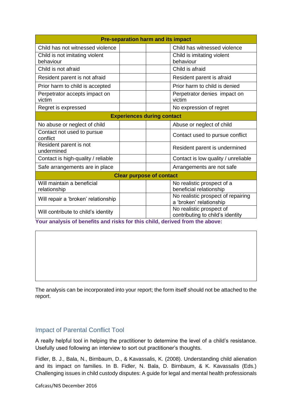| <b>Pre-separation harm and its impact</b>   |  |                                                               |  |  |
|---------------------------------------------|--|---------------------------------------------------------------|--|--|
| Child has not witnessed violence            |  | Child has witnessed violence                                  |  |  |
| Child is not imitating violent<br>behaviour |  | Child is imitating violent<br>behaviour                       |  |  |
| Child is not afraid                         |  | Child is afraid                                               |  |  |
| Resident parent is not afraid               |  | Resident parent is afraid                                     |  |  |
| Prior harm to child is accepted             |  | Prior harm to child is denied                                 |  |  |
| Perpetrator accepts impact on<br>victim     |  | Perpetrator denies impact on<br>victim                        |  |  |
| Regret is expressed                         |  | No expression of regret                                       |  |  |
| <b>Experiences during contact</b>           |  |                                                               |  |  |
| No abuse or neglect of child                |  | Abuse or neglect of child                                     |  |  |
| Contact not used to pursue<br>conflict      |  | Contact used to pursue conflict                               |  |  |
| Resident parent is not<br>undermined        |  | Resident parent is undermined                                 |  |  |
| Contact is high-quality / reliable          |  | Contact is low quality / unreliable                           |  |  |
| Safe arrangements are in place              |  | Arrangements are not safe                                     |  |  |
| <b>Clear purpose of contact</b>             |  |                                                               |  |  |
| Will maintain a beneficial<br>relationship  |  | No realistic prospect of a<br>beneficial relationship         |  |  |
| Will repair a 'broken' relationship         |  | No realistic prospect of repairing<br>a 'broken' relationship |  |  |
| Will contribute to child's identity         |  | No realistic prospect of<br>contributing to child's identity  |  |  |

**Your analysis of benefits and risks for this child, derived from the above:**

The analysis can be incorporated into your report; the form itself should not be attached to the report.

## <span id="page-12-0"></span>Impact of Parental Conflict Tool

A really helpful tool in helping the practitioner to determine the level of a child's resistance. Usefully used following an interview to sort out practitioner's thoughts.

Fidler, B. J., Bala, N., Birnbaum, D., & Kavassalis, K. (2008). Understanding child alienation and its impact on families. In B. Fidler, N. Bala, D. Birnbaum, & K. Kavassalis (Eds.) Challenging issues in child custody disputes: A guide for legal and mental health professionals

Cafcass/NIS December 2016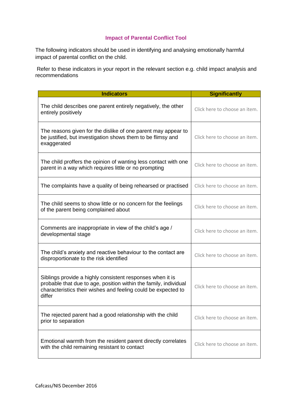## **Impact of Parental Conflict Tool**

The following indicators should be used in identifying and analysing emotionally harmful impact of parental conflict on the child.

Refer to these indicators in your report in the relevant section e.g. child impact analysis and recommendations

| <b>Indicators</b>                                                                                                                                                                                        | <b>Significantly</b>          |
|----------------------------------------------------------------------------------------------------------------------------------------------------------------------------------------------------------|-------------------------------|
| The child describes one parent entirely negatively, the other<br>entirely positively                                                                                                                     | Click here to choose an item. |
| The reasons given for the dislike of one parent may appear to<br>be justified, but investigation shows them to be flimsy and<br>exaggerated                                                              | Click here to choose an item. |
| The child proffers the opinion of wanting less contact with one<br>parent in a way which requires little or no prompting                                                                                 | Click here to choose an item. |
| The complaints have a quality of being rehearsed or practised                                                                                                                                            | Click here to choose an item. |
| The child seems to show little or no concern for the feelings<br>of the parent being complained about                                                                                                    | Click here to choose an item. |
| Comments are inappropriate in view of the child's age /<br>developmental stage                                                                                                                           | Click here to choose an item. |
| The child's anxiety and reactive behaviour to the contact are<br>disproportionate to the risk identified                                                                                                 | Click here to choose an item. |
| Siblings provide a highly consistent responses when it is<br>probable that due to age, position within the family, individual<br>characteristics their wishes and feeling could be expected to<br>differ | Click here to choose an item. |
| The rejected parent had a good relationship with the child<br>prior to separation                                                                                                                        | Click here to choose an item. |
| Emotional warmth from the resident parent directly correlates<br>with the child remaining resistant to contact                                                                                           | Click here to choose an item. |